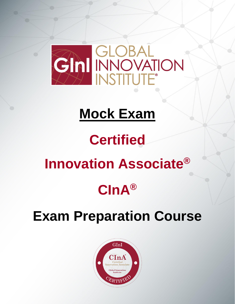

## **Mock Exam**

# **Certified**

## **Innovation Associate®**

## **CInA®**

## **Exam Preparation Course**

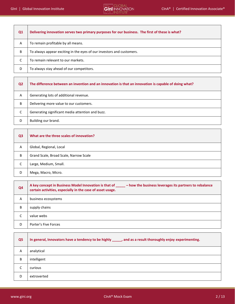| Q1 | Delivering innovation serves two primary purposes for our business. The first of these is what? |
|----|-------------------------------------------------------------------------------------------------|
| Α  | To remain profitable by all means.                                                              |
| B  | To always appear exciting in the eyes of our investors and customers.                           |
| C  | To remain relevant to our markets.                                                              |
| D  | To always stay ahead of our competitors.                                                        |
|    |                                                                                                 |

| Q <sub>2</sub> | The difference between an invention and an innovation is that an innovation is capable of doing what? |
|----------------|-------------------------------------------------------------------------------------------------------|
| Α              | Generating lots of additional revenue.                                                                |
| B              | Delivering more value to our customers.                                                               |
| C              | Generating significant media attention and buzz.                                                      |
| D              | Building our brand.                                                                                   |

| Q <sub>3</sub> | What are the three scales of innovation? |
|----------------|------------------------------------------|
| Α              | Global, Regional, Local                  |
| B              | Grand Scale, Broad Scale, Narrow Scale   |
| C              | Large, Medium, Small.                    |
| D              | Mega, Macro, Micro.                      |

| Q <sub>4</sub> | A key concept in Business Model Innovation is that of _____ - how the business leverages its partners to rebalance<br>certain activities, especially in the case of asset usage. |
|----------------|----------------------------------------------------------------------------------------------------------------------------------------------------------------------------------|
| Α              | business ecosystems                                                                                                                                                              |
| B              | supply chains                                                                                                                                                                    |
| C              | value webs                                                                                                                                                                       |
| D              | Porter's Five Forces                                                                                                                                                             |

| Q <sub>5</sub> | In general, Innovators have a tendency to be highly ______, and as a result thoroughly enjoy experimenting. |
|----------------|-------------------------------------------------------------------------------------------------------------|
| A              | analytical                                                                                                  |
| B              | intelligent                                                                                                 |
| r<br>◡         | curious                                                                                                     |
| D              | extroverted                                                                                                 |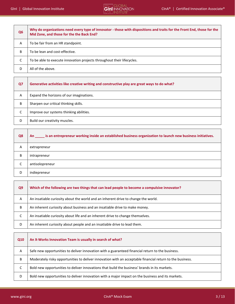$\mathbf{\overline{r}}$ 



| Q <sub>6</sub> | Why do organizations need every type of innovator - those with dispositions and traits for the Front End, those for the<br>Mid Zone, and those for the the Back End? |
|----------------|----------------------------------------------------------------------------------------------------------------------------------------------------------------------|
| A              | To be fair from an HR standpoint.                                                                                                                                    |
| B              | To be lean and cost-effective.                                                                                                                                       |
| C              | To be able to execute innovation projects throughout their lifecycles.                                                                                               |
| D              | All of the above.                                                                                                                                                    |

| Q7 | Generative activities like creative writing and constructive play are great ways to do what? |
|----|----------------------------------------------------------------------------------------------|
| A  | Expand the horizons of our imaginations.                                                     |
| B  | Sharpen our critical thinking skills.                                                        |
| C  | Improve our systems thinking abilities.                                                      |
| D  | Build our creativity muscles.                                                                |

| Q8 | An is an entrepreneur working inside an established business organization to launch new business initiatives. |
|----|---------------------------------------------------------------------------------------------------------------|
| Α  | extrapreneur                                                                                                  |
| B  | intrapreneur                                                                                                  |
| C  | antisolopreneur                                                                                               |
| D  | indiepreneur                                                                                                  |

| Q <sub>9</sub> | Which of the following are two things that can lead people to become a compulsive innovator? |
|----------------|----------------------------------------------------------------------------------------------|
| A              | An insatiable curiosity about the world and an inherent drive to change the world.           |
| B              | An inherent curiosity about business and an insatiable drive to make money.                  |
| C              | An insatiable curiosity about life and an inherent drive to change themselves.               |
| D              | An inherent curiosity about people and an insatiable drive to lead them.                     |

| Q10 | An X-Works Innovation Team is usually in search of what?                                                  |
|-----|-----------------------------------------------------------------------------------------------------------|
| A   | Safe new opportunities to deliver innovation with a guaranteed financial return to the business.          |
| B   | Moderately risky opportunities to deliver innovation with an acceptable financial return to the business. |
| C   | Bold new opportunities to deliver innovations that build the business' brands in its markets.             |
| D   | Bold new opportunities to deliver innovation with a major impact on the business and its markets.         |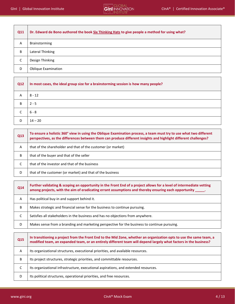| Q11 | Dr. Edward de Bono authored the book Six Thinking Hats to give people a method for using what? |
|-----|------------------------------------------------------------------------------------------------|
| A   | Brainstorming                                                                                  |
| B   | Lateral Thinking                                                                               |
| С   | Design Thinking                                                                                |
| D   | <b>Oblique Examination</b>                                                                     |

| <b>Q12</b> | In most cases, the ideal group size for a brainstorming session is how many people? |
|------------|-------------------------------------------------------------------------------------|
| A          | 8 - 12                                                                              |
| B          | $2 - 5$                                                                             |
|            | 6 - 8                                                                               |
| D          | $14 - 20$                                                                           |

| Q13 | To ensure a holistic 360° view in using the Oblique Examination process, a team must try to use what two different<br>perspectives, as the differences between them can produce different insights and highlight different challenges? |
|-----|----------------------------------------------------------------------------------------------------------------------------------------------------------------------------------------------------------------------------------------|
| A   | that of the shareholder and that of the customer (or market)                                                                                                                                                                           |
| B   | that of the buyer and that of the seller                                                                                                                                                                                               |
| C   | that of the investor and that of the business                                                                                                                                                                                          |
| D   | that of the customer (or market) and that of the business                                                                                                                                                                              |

| Q14          | Further validating & scoping an opportunity in the Front End of a project allows for a level of intermediate vetting<br>among projects, with the aim of eradicating errant assumptions and thereby ensuring each opportunity ______. |
|--------------|--------------------------------------------------------------------------------------------------------------------------------------------------------------------------------------------------------------------------------------|
| $\mathsf{A}$ | Has political buy-in and support behind it.                                                                                                                                                                                          |
| B            | Makes strategic and financial sense for the business to continue pursuing.                                                                                                                                                           |
| C            | Satisfies all stakeholders in the business and has no objections from anywhere.                                                                                                                                                      |
| D            | Makes sense from a branding and marketing perspective for the business to continue pursuing.                                                                                                                                         |

| Q <sub>15</sub> | In transitioning a project from the Front End to the Mid Zone, whether an organization opts to use the same team, a<br>modified team, an expanded team, or an entirely different team will depend largely what factors in the business? |
|-----------------|-----------------------------------------------------------------------------------------------------------------------------------------------------------------------------------------------------------------------------------------|
| A               | Its organizational structures, executional priorities, and available resources.                                                                                                                                                         |
| B               | Its project structures, strategic priorities, and committable resources.                                                                                                                                                                |
| C               | Its organizational infrastructure, executional aspirations, and extended resources.                                                                                                                                                     |
| D               | Its political structures, operational priorities, and free resources.                                                                                                                                                                   |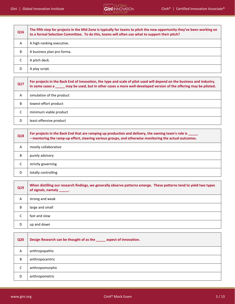| Q16 | The fifth step for projects in the Mid Zone is typically for teams to pitch the new opportunity they've been working on<br>to a formal Selection Committee. To do this, teams will often use what to support their pitch? |
|-----|---------------------------------------------------------------------------------------------------------------------------------------------------------------------------------------------------------------------------|
| A   | A high-ranking executive.                                                                                                                                                                                                 |
| B   | A business plan pro forma.                                                                                                                                                                                                |
| C   | A pitch deck.                                                                                                                                                                                                             |
| D   | A play script.                                                                                                                                                                                                            |

| Q17 | For projects in the Back End of Innovation, the type and scale of pilot used will depend on the business and industry.<br>In some cases a _____ may be used, but in other cases a more well-developed version of the offering may be piloted. |
|-----|-----------------------------------------------------------------------------------------------------------------------------------------------------------------------------------------------------------------------------------------------|
| A   | simulation of the product                                                                                                                                                                                                                     |
| B   | lowest-effort product                                                                                                                                                                                                                         |
| C   | minimum viable product                                                                                                                                                                                                                        |
| D   | least-offensive product                                                                                                                                                                                                                       |

| Q18 | For projects in the Back End that are ramping up production and delivery, the owning team's role is _____<br>- mentoring the ramp-up effort, steering various groups, and otherwise monitoring the actual outcomes. |
|-----|---------------------------------------------------------------------------------------------------------------------------------------------------------------------------------------------------------------------|
| A   | mostly collaborative                                                                                                                                                                                                |
| В   | purely advisory                                                                                                                                                                                                     |
| J   | strictly governing                                                                                                                                                                                                  |
| D   | totally controlling                                                                                                                                                                                                 |

| Q19 | When distilling our research findings, we generally observe patterns emerge. These patterns tend to yield two types<br>of signals, namely ______. |
|-----|---------------------------------------------------------------------------------------------------------------------------------------------------|
| A   | strong and weak                                                                                                                                   |
| В   | large and small                                                                                                                                   |
| C   | fast and slow                                                                                                                                     |
| D   | up and down                                                                                                                                       |

| <b>Q20</b> | Design Research can be thought of as the ______ aspect of innovation. |
|------------|-----------------------------------------------------------------------|
| A          | anthropopathic                                                        |
| B          | anthropocentric                                                       |
| C          | anthropomorphic                                                       |
| D          | anthropometric                                                        |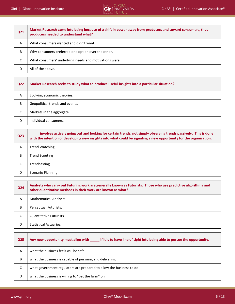

| Q21 | Market Research came into being because of a shift in power away from producers and toward consumers, thus<br>producers needed to understand what? |
|-----|----------------------------------------------------------------------------------------------------------------------------------------------------|
| A   | What consumers wanted and didn't want.                                                                                                             |
| B   | Why consumers preferred one option over the other.                                                                                                 |
| C   | What consumers' underlying needs and motivations were.                                                                                             |
|     | All of the above.                                                                                                                                  |

| Q22 | Market Research seeks to study what to produce useful insights into a particular situation? |
|-----|---------------------------------------------------------------------------------------------|
| A   | Evolving economic theories.                                                                 |
| B   | Geopolitical trends and events.                                                             |
| C   | Markets in the aggregate.                                                                   |
| D   | Individual consumers.                                                                       |

| Q <sub>23</sub> | involves actively going out and looking for certain trends, not simply observing trends passively. This is done<br>with the intention of developing new insights into what could be signaling a new opportunity for the organization. |
|-----------------|---------------------------------------------------------------------------------------------------------------------------------------------------------------------------------------------------------------------------------------|
| A               | <b>Trend Watching</b>                                                                                                                                                                                                                 |
| B               | <b>Trend Scouting</b>                                                                                                                                                                                                                 |
| С               | Trendcasting                                                                                                                                                                                                                          |
| D               | Scenario Planning                                                                                                                                                                                                                     |

| Q24 | Analysts who carry out Futuring work are generally known as Futurists. Those who use predictive algorithms and<br>other quantitative methods in their work are known as what? |
|-----|-------------------------------------------------------------------------------------------------------------------------------------------------------------------------------|
| A   | <b>Mathematical Analysts.</b>                                                                                                                                                 |
| B   | Perceptual Futurists.                                                                                                                                                         |
| C   | Quantitative Futurists.                                                                                                                                                       |
| D   | <b>Statistical Actuaries.</b>                                                                                                                                                 |

| <b>Q25</b> | if it is to have line of sight into being able to pursue the opportunity.<br>Any new opportunity must align with |
|------------|------------------------------------------------------------------------------------------------------------------|
| Α          | what the business feels will be safe                                                                             |
| B          | what the business is capable of pursuing and delivering                                                          |
| C          | what government regulators are prepared to allow the business to do                                              |
| D          | what the business is willing to "bet the farm" on                                                                |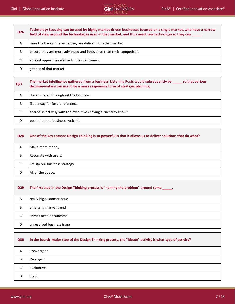| <b>Q26</b> | Technology Scouting can be used by highly market-driven businesses focused on a single market, who have a narrow<br>field of view around the technologies used in that market, and thus need new technology so they can _____. |
|------------|--------------------------------------------------------------------------------------------------------------------------------------------------------------------------------------------------------------------------------|
| A          | raise the bar on the value they are delivering to that market                                                                                                                                                                  |
| B          | ensure they are more advanced and innovative than their competitors                                                                                                                                                            |
| C          | at least appear innovative to their customers                                                                                                                                                                                  |
| D          | get out of that market                                                                                                                                                                                                         |
|            |                                                                                                                                                                                                                                |
|            |                                                                                                                                                                                                                                |

| <b>Q27</b> | The market intelligence gathered from a business' Listening Posts would subsequently be<br>so that various<br>decision-makers can use it for a more responsive form of strategic planning. |
|------------|--------------------------------------------------------------------------------------------------------------------------------------------------------------------------------------------|
| Α          | disseminated throughout the business                                                                                                                                                       |
| B          | filed away for future reference                                                                                                                                                            |
| C          | shared selectively with top executives having a "need to know"                                                                                                                             |
| D          | posted on the business' web site                                                                                                                                                           |

| <b>Q28</b> | One of the key reasons Design Thinking is so powerful is that it allows us to deliver solutions that do what? |
|------------|---------------------------------------------------------------------------------------------------------------|
| A          | Make more money.                                                                                              |
| B          | Resonate with users.                                                                                          |
| C          | Satisfy our business strategy.                                                                                |
| D          | All of the above.                                                                                             |

| Q <sub>29</sub> | The first step in the Design Thinking process is "naming the problem" around some _____. |
|-----------------|------------------------------------------------------------------------------------------|
| A               | really big customer issue                                                                |
| B               | emerging market trend                                                                    |
| C               | unmet need or outcome                                                                    |
| D               | unresolved business issue                                                                |

| <b>Q30</b> | In the fourth major step of the Design Thinking process, the "Ideate" activity is what type of activity? |
|------------|----------------------------------------------------------------------------------------------------------|
| A          | Convergent                                                                                               |
| В          | Divergent                                                                                                |
| C          | Evaluative                                                                                               |
| D          | Static                                                                                                   |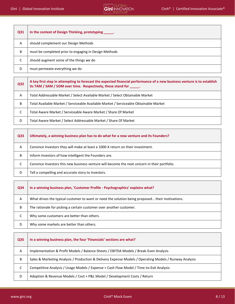

| Q31 | In the context of Design Thinking, prototyping ______. |
|-----|--------------------------------------------------------|
| A   | should complement our Design Methods                   |
| B   | must be completed prior to engaging in Design Methods  |
| J   | should augment some of the things we do                |
| D   | must permeate everything we do                         |
|     |                                                        |

| <b>Q32</b> | A key first step in attempting to forecast the expected financial performance of a new business venture is to establish<br>its TAM / SAM / SOM over time. Respectively, these stand for ______. |
|------------|-------------------------------------------------------------------------------------------------------------------------------------------------------------------------------------------------|
| A          | Total Addressable Market / Select Available Market / Select Obtainable Market                                                                                                                   |
| B          | Total Available Market / Serviceable Available Market / Serviceable Obtainable Market                                                                                                           |
| C          | Total Aware Market / Serviceable Aware Market / Share Of Market                                                                                                                                 |
| D          | Total Aware Market / Select Addressable Market / Share Of Market                                                                                                                                |

| Q33 | Ultimately, a winning business plan has to do what for a new venture and its Founders?        |
|-----|-----------------------------------------------------------------------------------------------|
| Α   | Convince Investors they will make at least a 1000-X return on their investment.               |
| B   | Inform Investors of how intelligent the Founders are.                                         |
| C   | Convince Investors this new business venture will become the next unicorn in their portfolio. |
| D   | Tell a compelling and accurate story to Investors.                                            |

| Q34 | In a winning business plan, 'Customer Profile - Psychographics' explains what?                  |
|-----|-------------------------------------------------------------------------------------------------|
| A   | What drives the typical customer to want or need the solution being proposed their motivations. |
| B   | The rationale for picking a certain customer over another customer.                             |
| C   | Why some customers are better than others.                                                      |
| D   | Why some markets are better than others.                                                        |

| <b>Q35</b> | In a winning business plan, the four 'Financials' sections are what?                                   |
|------------|--------------------------------------------------------------------------------------------------------|
| A          | Implementation & Profit Models / Balance Sheets / EBITDA Models / Break-Even Analysis                  |
| B          | Sales & Marketing Analysis / Production & Delivery Expense Models / Operating Models / Runway Analysis |
| С          | Competitive Analysis / Usage Models / Expense + Cash Flow Model / Time-to-Exit Analysis                |
| D          | Adoption & Revenue Models / Cost + P&L Model / Development Costs / Return                              |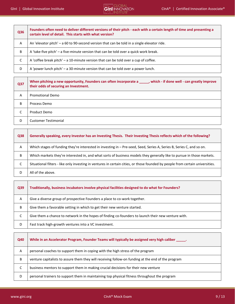| Q36 | Founders often need to deliver different versions of their pitch - each with a certain length of time and presenting a<br>certain level of detail. This starts with what version? |
|-----|-----------------------------------------------------------------------------------------------------------------------------------------------------------------------------------|
| A   | An 'elevator pitch' - a 60 to 90-second version that can be told in a single elevator ride.                                                                                       |
| B   | A 'take-five pitch' – a five-minute version that can be told over a quick work break.                                                                                             |
| C   | A 'coffee break pitch' – a 10-minute version that can be told over a cup of coffee.                                                                                               |
| D   | A 'power lunch pitch' – a 30-minute version that can be told over a power lunch.                                                                                                  |

| Q37 | When pitching a new opportunity, Founders can often incorporate a _____, which - if done well - can greatly improve<br>their odds of securing an Investment. |
|-----|--------------------------------------------------------------------------------------------------------------------------------------------------------------|
| A   | <b>Promotional Demo</b>                                                                                                                                      |
| B   | Process Demo                                                                                                                                                 |
| r   | Product Demo                                                                                                                                                 |
| D   | <b>Customer Testimonial</b>                                                                                                                                  |

| <b>Q38</b> | Generally speaking, every Investor has an Investing Thesis. Their Investing Thesis reflects which of the following?            |
|------------|--------------------------------------------------------------------------------------------------------------------------------|
| A          | Which stages of funding they're interested in investing in – Pre-seed, Seed, Series A, Series B, Series C, and so on.          |
| B          | Which markets they're interested in, and what sorts of business models they generally like to pursue in those markets.         |
| C          | Situational filters - like only investing in ventures in certain cities, or those founded by people from certain universities. |
| D          | All of the above.                                                                                                              |

| Q39 | Traditionally, business incubators involve physical facilities designed to do what for Founders?    |
|-----|-----------------------------------------------------------------------------------------------------|
| A   | Give a diverse group of prospective Founders a place to co-work together.                           |
| B   | Give them a favorable setting in which to get their new venture started.                            |
| C   | Give them a chance to network in the hopes of finding co-founders to launch their new venture with. |
| D   | Fast track high-growth ventures into a VC investment.                                               |

| Q40 | While in an Accelerator Program, Founder Teams will typically be assigned very high caliber _____. |
|-----|----------------------------------------------------------------------------------------------------|
| A   | personal coaches to support them in coping with the high stress of the program                     |
| B   | venture capitalists to assure them they will receiving follow-on funding at the end of the program |
| C   | business mentors to support them in making crucial decisions for their new venture                 |
| D   | personal trainers to support them in maintaining top physical fitness throughout the program       |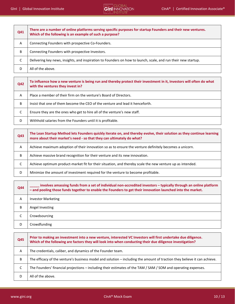$\top$ 

## GInI │ Global Innovation Institute CINE® NEW CLOBAL<br>CInA® │ Certified Innovation Associate®<br>CINA® │ Certified Innovation Associate®

| Q41 | There are a number of online platforms serving specific purposes for startup Founders and their new ventures.<br>Which of the following is an example of such a purpose? |
|-----|--------------------------------------------------------------------------------------------------------------------------------------------------------------------------|
| A   | Connecting Founders with prospective Co-Founders.                                                                                                                        |
| B   | Connecting Founders with prospective Investors.                                                                                                                          |
| C   | Delivering key news, insights, and inspiration to Founders on how to launch, scale, and run their new startup.                                                           |
| D   | All of the above.                                                                                                                                                        |

| <b>Q42</b> | To influence how a new venture is being run and thereby protect their investment in it, Investors will often do what<br>with the ventures they invest in? |
|------------|-----------------------------------------------------------------------------------------------------------------------------------------------------------|
| A          | Place a member of their firm on the venture's Board of Directors.                                                                                         |
| B          | Insist that one of them become the CEO of the venture and lead it henceforth.                                                                             |
| C          | Ensure they are the ones who get to hire all of the venture's new staff.                                                                                  |
| D          | Withhold salaries from the Founders until it is profitable.                                                                                               |

| Q43 | The Lean Startup Method lets Founders quickly iterate on, and thereby evolve, their solution as they continue learning<br>more about their market's need - so that they can ultimately do what? |
|-----|-------------------------------------------------------------------------------------------------------------------------------------------------------------------------------------------------|
| A   | Achieve maximum adoption of their innovation so as to ensure the venture definitely becomes a unicorn.                                                                                          |
| B   | Achieve massive brand recognition for their venture and its new innovation.                                                                                                                     |
| C   | Achieve optimum product-market fit for their situation, and thereby scale the new venture up as intended.                                                                                       |
| D   | Minimize the amount of investment required for the venture to become profitable.                                                                                                                |

| <b>Q44</b> | involves amassing funds from a set of individual non-accredited investors – typically through an online platform<br>- and pooling those funds together to enable the Founders to get their innovation launched into the market. |
|------------|---------------------------------------------------------------------------------------------------------------------------------------------------------------------------------------------------------------------------------|
| A          | <b>Investor Marketing</b>                                                                                                                                                                                                       |
| B          | Angel Investing                                                                                                                                                                                                                 |
| С          | Crowdsourcing                                                                                                                                                                                                                   |
| D          | Crowdfunding                                                                                                                                                                                                                    |

| <b>Q45</b> | Prior to making an investment into a new venture, interested VC Investors will first undertake due diligence.<br>Which of the following are factors they will look into when conducting their due diligence investigation? |
|------------|----------------------------------------------------------------------------------------------------------------------------------------------------------------------------------------------------------------------------|
| A          | The credentials, caliber, and dynamics of the Founder team.                                                                                                                                                                |
| B          | The efficacy of the venture's business model and solution – including the amount of traction they believe it can achieve.                                                                                                  |
| C          | The Founders' financial projections – including their estimates of the TAM / SAM / SOM and operating expenses.                                                                                                             |
| D          | All of the above.                                                                                                                                                                                                          |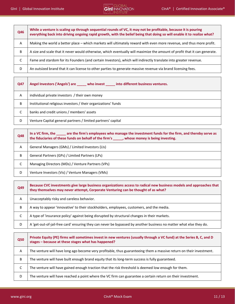| Q46 | While a venture is scaling up through sequential rounds of VC, it may not be profitable, because it is pouring<br>everything back into driving ongoing rapid growth, with the belief being that doing so will enable it to realize what? |
|-----|------------------------------------------------------------------------------------------------------------------------------------------------------------------------------------------------------------------------------------------|
| A   | Making the world a better place – which markets will ultimately reward with even more revenue, and thus more profit.                                                                                                                     |
| B   | A size and scale that it never would otherwise, which eventually will maximize the amount of profit that it can generate.                                                                                                                |
| C   | Fame and stardom for its Founders (and certain Investors), which will indirectly translate into greater revenue.                                                                                                                         |
| D   | An outsized brand that it can license to other parties to generate massive revenue via brand licensing fees.                                                                                                                             |

| Q47 | Angel Investors ('Angels') are vho invest into different business ventures. |
|-----|-----------------------------------------------------------------------------|
| A   | individual private investors / their own money                              |
| B   | Institutional religious investors / their organizations' funds              |
| C   | banks and credit unions / members' assets                                   |
| D   | Venture Capital general partners / limited partners' capital                |

| <b>Q48</b> | In a VC firm, the same the firm's employees who manage the investment funds for the firm, and thereby serve as<br>the fiduciaries of these funds on behalf of the firm's ______, whose money is being investing. |
|------------|------------------------------------------------------------------------------------------------------------------------------------------------------------------------------------------------------------------|
| Α          | General Managers (GMs) / Limited Investors (LIs)                                                                                                                                                                 |
| B          | General Partners (GPs) / Limited Partners (LPs)                                                                                                                                                                  |
| C          | Managing Directors (MDs) / Venture Partners (VPs)                                                                                                                                                                |
| D          | Venture Investors (Vis) / Venture Managers (VMs)                                                                                                                                                                 |

| Q49 | Because CVC investments give large business organizations access to radical new business models and approaches that<br>they themselves may never attempt, Corporate Venturing can be thought of as what? |
|-----|----------------------------------------------------------------------------------------------------------------------------------------------------------------------------------------------------------|
| A   | Unacceptably risky and careless behavior.                                                                                                                                                                |
| B   | A way to appear 'innovative' to their stockholders, employees, customers, and the media.                                                                                                                 |
| C   | A type of 'insurance policy' against being disrupted by structural changes in their markets.                                                                                                             |
| D   | A 'get-out-of-jail-free card' ensuring they can never be bypassed by another business no matter what else they do.                                                                                       |

| <b>Q50</b> | Private Equity (PE) firms will sometimes invest in new ventures (usually through a VC fund) at the Series B, C, and D<br>stages - because at these stages what has happened? |
|------------|------------------------------------------------------------------------------------------------------------------------------------------------------------------------------|
| A          | The venture will have long ago become very profitable, thus guaranteeing them a massive return on their investment.                                                          |
| B          | The venture will have built enough brand equity that its long-term success is fully guaranteed.                                                                              |
| C          | The venture will have gained enough traction that the risk threshold is deemed low enough for them.                                                                          |
| D          | The venture will have reached a point where the VC firm can guarantee a certain return on their investment.                                                                  |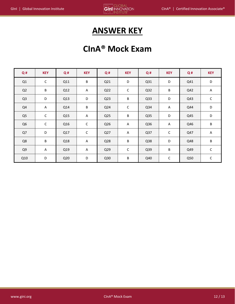### **ANSWER KEY**

### **CInA® Mock Exam**

| Q#             | <b>KEY</b>  | Q#  | <b>KEY</b>  | Q#              | <b>KEY</b>  | Q#              | <b>KEY</b>  | Q#  | <b>KEY</b> |
|----------------|-------------|-----|-------------|-----------------|-------------|-----------------|-------------|-----|------------|
| Q1             | $\mathsf C$ | Q11 | $\sf B$     | Q <sub>21</sub> | D           | Q <sub>31</sub> | D           | Q41 | D          |
| Q2             | B           | Q12 | A           | Q22             | С           | Q <sub>32</sub> | $\sf B$     | Q42 | Α          |
| Q <sub>3</sub> | D           | Q13 | $\mathsf D$ | Q <sub>23</sub> | B           | Q <sub>33</sub> | D           | Q43 | С          |
| Q4             | Α           | Q14 | $\sf B$     | Q24             | $\mathsf C$ | Q34             | A           | Q44 | D          |
| Q <sub>5</sub> | $\mathsf C$ | Q15 | A           | Q <sub>25</sub> | B           | Q <sub>35</sub> | D           | Q45 | D          |
| Q <sub>6</sub> | C           | Q16 | C           | Q26             | A           | Q36             | Α           | Q46 | B          |
| Q7             | D           | Q17 | $\mathsf C$ | Q27             | A           | Q <sub>37</sub> | $\mathsf C$ | Q47 | A          |
| Q8             | $\sf B$     | Q18 | A           | Q28             | B           | Q <sub>38</sub> | D           | Q48 | В          |
| Q9             | A           | Q19 | A           | Q <sub>29</sub> | $\mathsf C$ | Q39             | B           | Q49 | С          |
| Q10            | D           | Q20 | D           | Q <sub>30</sub> | B           | Q40             | $\mathsf C$ | Q50 | С          |